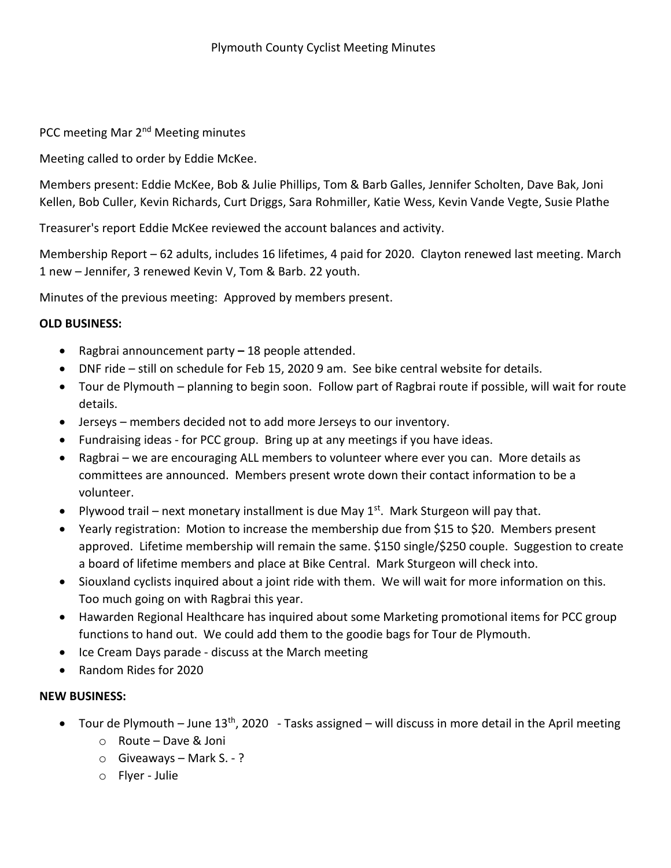PCC meeting Mar 2<sup>nd</sup> Meeting minutes

Meeting called to order by Eddie McKee.

Members present: Eddie McKee, Bob & Julie Phillips, Tom & Barb Galles, Jennifer Scholten, Dave Bak, Joni Kellen, Bob Culler, Kevin Richards, Curt Driggs, Sara Rohmiller, Katie Wess, Kevin Vande Vegte, Susie Plathe

Treasurer's report Eddie McKee reviewed the account balances and activity.

Membership Report – 62 adults, includes 16 lifetimes, 4 paid for 2020. Clayton renewed last meeting. March 1 new – Jennifer, 3 renewed Kevin V, Tom & Barb. 22 youth.

Minutes of the previous meeting: Approved by members present.

## **OLD BUSINESS:**

- Ragbrai announcement party **–** 18 people attended.
- DNF ride still on schedule for Feb 15, 2020 9 am. See bike central website for details.
- Tour de Plymouth planning to begin soon. Follow part of Ragbrai route if possible, will wait for route details.
- Jerseys members decided not to add more Jerseys to our inventory.
- Fundraising ideas for PCC group. Bring up at any meetings if you have ideas.
- Ragbrai we are encouraging ALL members to volunteer where ever you can. More details as committees are announced. Members present wrote down their contact information to be a volunteer.
- Plywood trail next monetary installment is due May  $1<sup>st</sup>$ . Mark Sturgeon will pay that.
- Yearly registration: Motion to increase the membership due from \$15 to \$20. Members present approved. Lifetime membership will remain the same. \$150 single/\$250 couple. Suggestion to create a board of lifetime members and place at Bike Central. Mark Sturgeon will check into.
- Siouxland cyclists inquired about a joint ride with them. We will wait for more information on this. Too much going on with Ragbrai this year.
- Hawarden Regional Healthcare has inquired about some Marketing promotional items for PCC group functions to hand out. We could add them to the goodie bags for Tour de Plymouth.
- Ice Cream Days parade discuss at the March meeting
- Random Rides for 2020

## **NEW BUSINESS:**

- Tour de Plymouth June  $13<sup>th</sup>$ , 2020 Tasks assigned will discuss in more detail in the April meeting
	- o Route Dave & Joni
	- $\circ$  Giveaways Mark S. ?
	- o Flyer Julie